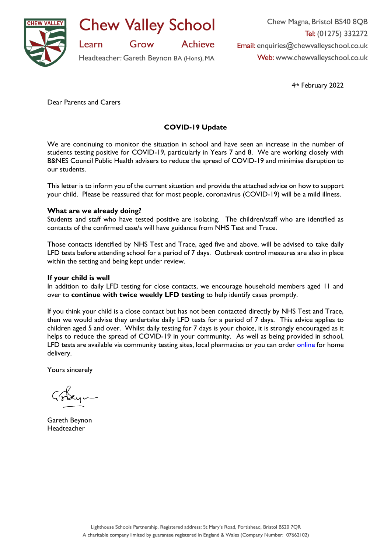

**Chew Valley School** 

**Achieve** 

Grow

Headteacher: Gareth Beynon BA (Hons), MA

Chew Magna, Bristol BS40 8QB Tel: (01275) 332272 Email: enquiries@chewvalleyschool.co.uk Web: www.chewvalleyschool.co.uk

4th February 2022

Dear Parents and Carers

Learn

# **COVID-19 Update**

We are continuing to monitor the situation in school and have seen an increase in the number of students testing positive for COVID-19, particularly in Years 7 and 8. We are working closely with B&NES Council Public Health advisers to reduce the spread of COVID-19 and minimise disruption to our students.

This letter is to inform you of the current situation and provide the attached advice on how to support your child. Please be reassured that for most people, coronavirus (COVID-19) will be a mild illness.

### **What are we already doing?**

Students and staff who have tested positive are isolating. The children/staff who are identified as contacts of the confirmed case/s will have guidance from NHS Test and Trace.

Those contacts identified by NHS Test and Trace, aged five and above, will be advised to take daily LFD tests before attending school for a period of 7 days. Outbreak control measures are also in place within the setting and being kept under review.

#### **If your child is well**

In addition to daily LFD testing for close contacts, we encourage household members aged 11 and over to **continue with twice weekly LFD testing** to help identify cases promptly.

If you think your child is a close contact but has not been contacted directly by NHS Test and Trace, then we would advise they undertake daily LFD tests for a period of 7 days. This advice applies to children aged 5 and over. Whilst daily testing for 7 days is your choice, it is strongly encouraged as it helps to reduce the spread of COVID-19 in your community. As well as being provided in school, LFD tests are available via community testing sites, local pharmacies or you can order [online](https://www.gov.uk/order-coronavirus-rapid-lateral-flow-tests) for home delivery.

Yours sincerely

Gareth Beynon Headteacher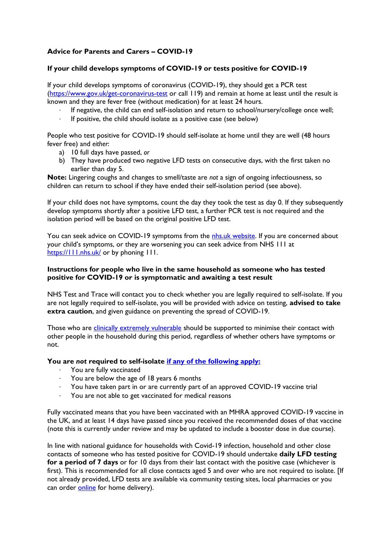# **Advice for Parents and Carers – COVID-19**

### **If your child develops symptoms of COVID-19 or tests positive for COVID-19**

If your child develops symptoms of coronavirus (COVID-19), they should get a PCR test [\(https://www.gov.uk/get-coronavirus-test](https://www.gov.uk/get-coronavirus-test) or call 119) and remain at home at least until the result is known and they are fever free (without medication) for at least 24 hours.

- · If negative, the child can end self-isolation and return to school/nursery/college once well;
- If positive, the child should isolate as a positive case (see below)

People who test positive for COVID-19 should self-isolate at home until they are well (48 hours fever free) and *either*:

- a) 10 full days have passed, *or*
- b) They have produced two negative LFD tests on consecutive days, with the first taken no earlier than day 5.

**Note:** Lingering coughs and changes to smell/taste are *not* a sign of ongoing infectiousness, so children can return to school if they have ended their self-isolation period (see above).

If your child does not have symptoms, count the day they took the test as day 0. If they subsequently develop symptoms shortly after a positive LFD test, a further PCR test is not required and the isolation period will be based on the original positive LFD test.

You can seek advice on COVID-19 symptoms from the [nhs.uk website.](https://www.nhs.uk/conditions/coronavirus-covid-19/check-if-you-have-coronavirus-symptoms/) If you are concerned about your child's symptoms, or they are worsening you can seek advice from NHS 111 at <https://111.nhs.uk/> or by phoning 111.

### **Instructions for people who live in the same household as someone who has tested positive for COVID-19 or is symptomatic and awaiting a test result**

NHS Test and Trace will contact you to check whether you are legally required to self-isolate. If you are not legally required to self-isolate, you will be provided with advice on testing, **advised to take extra caution**, and given guidance on preventing the spread of COVID-19.

Those who are [clinically extremely vulnerable](https://www.gov.uk/government/publications/guidance-on-shielding-and-protecting-extremely-vulnerable-persons-from-covid-19/guidance-on-shielding-and-protecting-extremely-vulnerable-persons-from-covid-19) should be supported to minimise their contact with other people in the household during this period, regardless of whether others have symptoms or not.

## **You are** *not* **required to self-isolate [if any of the following apply:](https://www.gov.uk/government/publications/covid-19-stay-at-home-guidance/stay-at-home-guidance-for-households-with-possible-coronavirus-covid-19-infection#exempt)**

- · You are fully vaccinated
- You are below the age of 18 years 6 months
- · You have taken part in or are currently part of an approved COVID-19 vaccine trial
- You are not able to get vaccinated for medical reasons

Fully vaccinated means that you have been vaccinated with an MHRA approved COVID-19 vaccine in the UK, and at least 14 days have passed since you received the recommended doses of that vaccine (note this is currently under review and may be updated to include a booster dose in due course).

In line with national guidance for households with Covid-19 infection, household and other close contacts of someone who has tested positive for COVID-19 should undertake **daily LFD testing for a period of 7 days** or for 10 days from their last contact with the positive case (whichever is first). This is recommended for all close contacts aged 5 and over who are not required to isolate. [If not already provided, LFD tests are available via community testing sites, local pharmacies or you can order [online](https://www.gov.uk/order-coronavirus-rapid-lateral-flow-tests) for home delivery).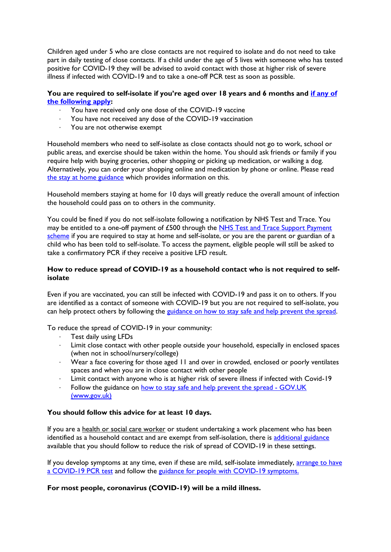Children aged under 5 who are close contacts are not required to isolate and do not need to take part in daily testing of close contacts. If a child under the age of 5 lives with someone who has tested positive for COVID-19 they will be advised to avoid contact with those at higher risk of severe illness if infected with COVID-19 and to take a one-off PCR test as soon as possible.

### **You are required to self-isolate if you're aged over 18 years and 6 months and [if any of](https://www.nhs.uk/conditions/coronavirus-covid-19/self-isolation-and-treatment/when-to-self-isolate-and-what-to-do/)  [the following apply:](https://www.nhs.uk/conditions/coronavirus-covid-19/self-isolation-and-treatment/when-to-self-isolate-and-what-to-do/)**

- · You have received only one dose of the COVID-19 vaccine
- You have not received any dose of the COVID-19 vaccination
- · You are not otherwise exempt

Household members who need to self-isolate as close contacts should not go to work, school or public areas, and exercise should be taken within the home. You should ask friends or family if you require help with buying groceries, other shopping or picking up medication, or walking a dog. Alternatively, you can order your shopping online and medication by phone or online. Please read [the stay at home guidance](https://www.gov.uk/government/publications/covid-19-stay-at-home-guidance/stay-at-home-guidance-for-households-with-possible-coronavirus-covid-19-infection) which provides information on this.

Household members staying at home for 10 days will greatly reduce the overall amount of infection the household could pass on to others in the community.

You could be fined if you do not self-isolate following a notification by NHS Test and Trace. You may be entitled to a one-off payment of £500 through the [NHS Test and Trace Support Payment](https://www.gov.uk/government/publications/test-and-trace-support-payment-scheme-claiming-financial-support/claiming-financial-support-under-the-test-and-trace-support-payment-scheme)  [scheme](https://www.gov.uk/government/publications/test-and-trace-support-payment-scheme-claiming-financial-support/claiming-financial-support-under-the-test-and-trace-support-payment-scheme) if you are required to stay at home and self-isolate, or you are the parent or guardian of a child who has been told to self-isolate. To access the payment, eligible people will still be asked to take a confirmatory PCR if they receive a positive LFD result.

### **How to reduce spread of COVID-19 as a household contact who is not required to selfisolate**

Even if you are vaccinated, you can still be infected with COVID-19 and pass it on to others. If you are identified as a contact of someone with COVID-19 but you are not required to self-isolate, you can help protect others by following the [guidance on how to stay safe and help prevent the spread.](https://www.gov.uk/guidance/covid-19-coronavirus-restrictions-what-you-can-and-cannot-do#keeping-yourself-and-others-safe)

To reduce the spread of COVID-19 in your community:

- Test daily using LFDs
- Limit close contact with other people outside your household, especially in enclosed spaces (when not in school/nursery/college)
- · Wear a face covering for those aged 11 and over in crowded, enclosed or poorly ventilates spaces and when you are in close contact with other people
- Limit contact with anyone who is at higher risk of severe illness if infected with Covid-19
- Follow the guidance on how to stay safe and help prevent the spread GOV.UK (www.gov.uk)

## **You should follow this advice for at least 10 days.**

If you are a health or social care worker or student undertaking a work placement who has been identified as a household contact and are exempt from self-isolation, there is [additional guidance](https://www.gov.uk/government/publications/covid-19-management-of-exposed-healthcare-workers-and-patients-in-hospital-settings/covid-19-management-of-exposed-healthcare-workers-and-patients-in-hospital-settings) available that you should follow to reduce the risk of spread of COVID-19 in these settings.

If you develop symptoms at any time, even if these are mild, self-isolate immediately, [arrange to have](https://www.gov.uk/get-coronavirus-test)  [a COVID-19 PCR test](https://www.gov.uk/get-coronavirus-test) and follow the [guidance for people with COVID-19 symptoms.](https://www.gov.uk/government/publications/covid-19-stay-at-home-guidance/stay-at-home-guidance-for-households-with-possible-coronavirus-covid-19-infection#SymptomsPositiveTest)

#### **For most people, coronavirus (COVID-19) will be a mild illness.**